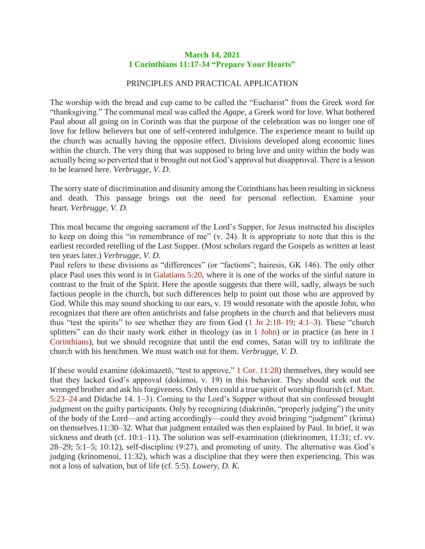## **March 14, 2021 I Corinthians 11:17-34 "Prepare Your Hearts"**

## PRINCIPLES AND PRACTICAL APPLICATION

The worship with the bread and cup came to be called the "Eucharist" from the Greek word for "thanksgiving." The communal meal was called the *Agape,* a Greek word for love. What bothered Paul about all going on in Corinth was that the purpose of the celebration was no longer one of love for fellow believers but one of self-centered indulgence. The experience meant to build up the church was actually having the opposite effect. Divisions developed along economic lines within the church. The very thing that was supposed to bring love and unity within the body was actually being so perverted that it brought out not God's approval but disapproval. There is a lesson to be learned here. *Verbrugge, V. D.*

The sorry state of discrimination and disunity among the Corinthians has been resulting in sickness and death. This passage brings out the need for personal reflection. Examine your heart. *Verbrugge, V. D.*

This meal became the ongoing sacrament of the Lord's Supper, for Jesus instructed his disciples to keep on doing this "in remembrance of me" (v. 24). It is appropriate to note that this is the earliest recorded retelling of the Last Supper. (Most scholars regard the Gospels as written at least ten years later.) *Verbrugge, V. D.*

Paul refers to these divisions as "differences" (or "factions"; hairesis, GK 146). The only other place Paul uses this word is in Galatians 5:20, where it is one of the works of the sinful nature in contrast to the fruit of the Spirit. Here the apostle suggests that there will, sadly, always be such factious people in the church, but such differences help to point out those who are approved by God. While this may sound shocking to our ears, v. 19 would resonate with the apostle John, who recognizes that there are often antichrists and false prophets in the church and that believers must thus "test the spirits" to see whether they are from God  $(1 \text{ Jn } 2:18-19; 4:1-3)$ . These "church" splitters" can do their nasty work either in theology (as in 1 John) or in practice (as here in 1 Corinthians), but we should recognize that until the end comes, Satan will try to infiltrate the church with his henchmen. We must watch out for them. *Verbrugge, V. D.*

If these would examine (dokimazetō, "test to approve," 1 Cor. 11:28) themselves, they would see that they lacked God's approval (dokimoi, v. 19) in this behavior. They should seek out the wronged brother and ask his forgiveness. Only then could a true spirit of worship flourish (cf. Matt. 5:23–24 and Didache 14. 1–3). Coming to the Lord's Supper without that sin confessed brought judgment on the guilty participants. Only by recognizing (diakrinōn, "properly judging") the unity of the body of the Lord—and acting accordingly—could they avoid bringing "judgment" (krima) on themselves.11:30–32. What that judgment entailed was then explained by Paul. In brief, it was sickness and death (cf. 10:1–11). The solution was self-examination (diekrinomen, 11:31; cf. vv. 28–29; 5:1–5; 10:12), self-discipline (9:27), and promoting of unity. The alternative was God's judging (krinomenoi, 11:32), which was a discipline that they were then experiencing. This was not a loss of salvation, but of life (cf. 5:5). *Lowery, D. K.*